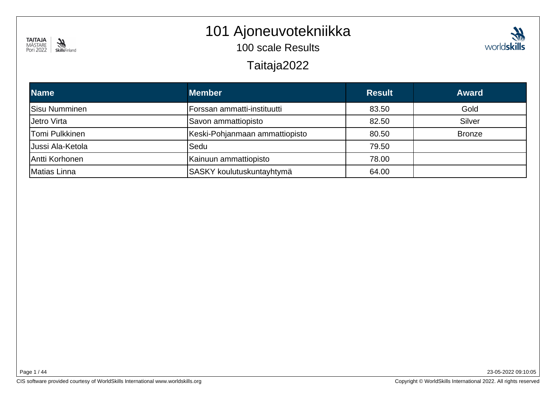

#### 101 Ajoneuvotekniikka

100 scale Results

Taitaja2022

| <b>Name</b>          | <b>Member</b>                  | <b>Result</b> | <b>Award</b>  |
|----------------------|--------------------------------|---------------|---------------|
| <b>Sisu Numminen</b> | Forssan ammatti-instituutti    | 83.50         | Gold          |
| Jetro Virta          | Savon ammattiopisto            | 82.50         | <b>Silver</b> |
| Tomi Pulkkinen       | Keski-Pohjanmaan ammattiopisto | 80.50         | <b>Bronze</b> |
| Jussi Ala-Ketola     | Sedu                           | 79.50         |               |
| Antti Korhonen       | Kainuun ammattiopisto          | 78.00         |               |
| Matias Linna         | SASKY koulutuskuntayhtymä      | 64.00         |               |

Page 1 / 44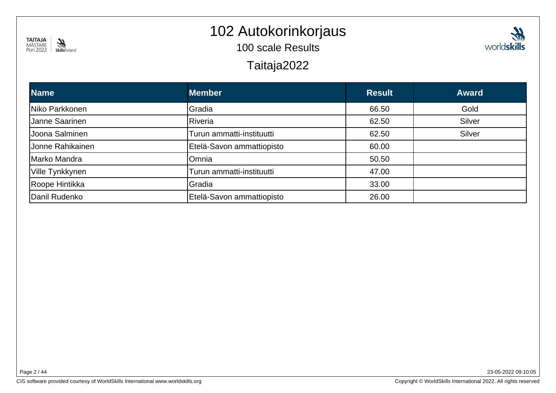

#### 102 Autokorinkorjaus

100 scale Results

Taitaja2022

| <b>Name</b>      | <b>Member</b>             | <b>Result</b> | <b>Award</b> |
|------------------|---------------------------|---------------|--------------|
| Niko Parkkonen   | Gradia                    | 66.50         | Gold         |
| Janne Saarinen   | Riveria                   | 62.50         | Silver       |
| Joona Salminen   | Turun ammatti-instituutti | 62.50         | Silver       |
| Jonne Rahikainen | Etelä-Savon ammattiopisto | 60.00         |              |
| Marko Mandra     | Omnia                     | 50.50         |              |
| Ville Tynkkynen  | Turun ammatti-instituutti | 47.00         |              |
| Roope Hintikka   | Gradia                    | 33.00         |              |
| Danil Rudenko    | Etelä-Savon ammattiopisto | 26.00         |              |

Page 2 / 44

23-05-2022 09:10:05

**Ship**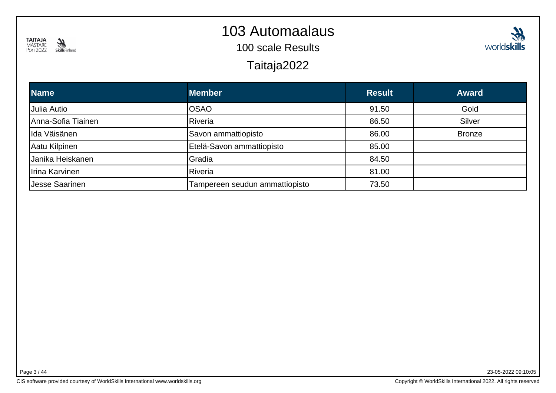

#### 103 Automaalaus

100 scale Results

Taitaja2022

| n.<br>VID   |
|-------------|
| worldskills |

| <b>Name</b>        | <b>Member</b>                  | <b>Result</b> | <b>Award</b>  |
|--------------------|--------------------------------|---------------|---------------|
| Julia Autio        | <b>OSAO</b>                    | 91.50         | Gold          |
| Anna-Sofia Tiainen | Riveria                        | 86.50         | Silver        |
| llda Väisänen      | Savon ammattiopisto            | 86.00         | <b>Bronze</b> |
| Aatu Kilpinen      | Etelä-Savon ammattiopisto      | 85.00         |               |
| Uanika Heiskanen   | Gradia                         | 84.50         |               |
| Irina Karvinen     | Riveria                        | 81.00         |               |
| Uesse Saarinen     | Tampereen seudun ammattiopisto | 73.50         |               |

Page 3 / 44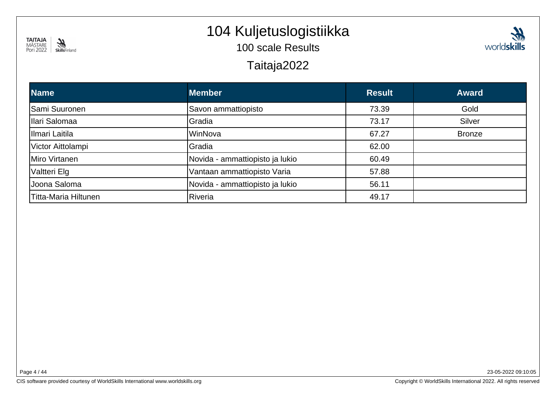

# 104 Kuljetuslogistiikka

100 scale Results

#### Taitaja2022

| <b>Name</b>          | <b>Member</b>                   | <b>Result</b> | <b>Award</b>  |
|----------------------|---------------------------------|---------------|---------------|
| Sami Suuronen        | Savon ammattiopisto             | 73.39         | Gold          |
| Ilari Salomaa        | Gradia                          | 73.17         | Silver        |
| Ilmari Laitila       | WinNova                         | 67.27         | <b>Bronze</b> |
| Victor Aittolampi    | Gradia                          | 62.00         |               |
| Miro Virtanen        | Novida - ammattiopisto ja lukio | 60.49         |               |
| Valtteri Elg         | Vantaan ammattiopisto Varia     | 57.88         |               |
| Uoona Saloma         | Novida - ammattiopisto ja lukio | 56.11         |               |
| Titta-Maria Hiltunen | Riveria                         | 49.17         |               |

Page 4 / 44

23-05-2022 09:10:05

**Ship**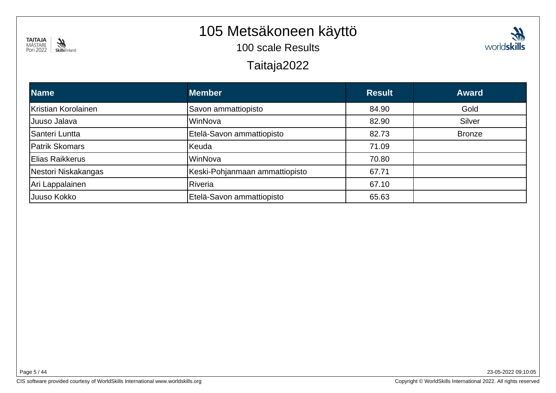

#### 105 Metsäkoneen käyttö

100 scale Results



#### Taitaja2022

| <b>Name</b>         | <b>Member</b>                  | <b>Result</b> | <b>Award</b>  |
|---------------------|--------------------------------|---------------|---------------|
| Kristian Korolainen | Savon ammattiopisto            | 84.90         | Gold          |
| Juuso Jalava        | WinNova                        | 82.90         | Silver        |
| Santeri Luntta      | Etelä-Savon ammattiopisto      | 82.73         | <b>Bronze</b> |
| Patrik Skomars      | Keuda                          | 71.09         |               |
| Elias Raikkerus     | WinNova                        | 70.80         |               |
| Nestori Niskakangas | Keski-Pohjanmaan ammattiopisto | 67.71         |               |
| Ari Lappalainen     | Riveria                        | 67.10         |               |
| Juuso Kokko         | Etelä-Savon ammattiopisto      | 65.63         |               |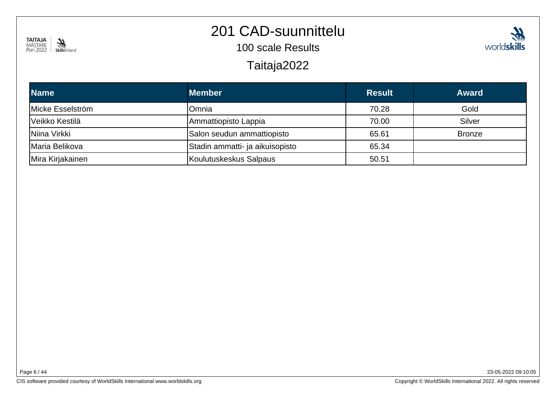

#### 201 CAD-suunnittelu

100 scale Results

Taitaja2022

| <b>Name</b>      | <b>Member</b>                   | <b>Result</b> | <b>Award</b>  |
|------------------|---------------------------------|---------------|---------------|
| Micke Esselström | Omnia                           | 70.28         | Gold          |
| Veikko Kestilä   | Ammattiopisto Lappia            | 70.00         | Silver        |
| INiina Virkki    | Salon seudun ammattiopisto      | 65.61         | <b>Bronze</b> |
| Maria Belikova   | Stadin ammatti- ja aikuisopisto | 65.34         |               |
| Mira Kirjakainen | Koulutuskeskus Salpaus          | 50.51         |               |

23-05-2022 09:10:05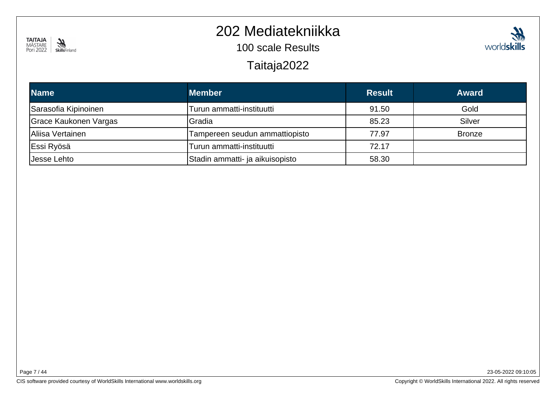

#### 202 Mediatekniikka

100 scale Results

Taitaja2022

| <b>Name</b>           | <b>Member</b>                   | <b>Result</b> | <b>Award</b>  |
|-----------------------|---------------------------------|---------------|---------------|
| Sarasofia Kipinoinen  | Turun ammatti-instituutti       | 91.50         | Gold          |
| Grace Kaukonen Vargas | Gradia                          | 85.23         | Silver        |
| Aliisa Vertainen      | Tampereen seudun ammattiopisto  | 77.97         | <b>Bronze</b> |
| Essi Ryösä            | Turun ammatti-instituutti       | 72.17         |               |
| <b>Jesse Lehto</b>    | Stadin ammatti- ja aikuisopisto | 58.30         |               |

Page 7 / 44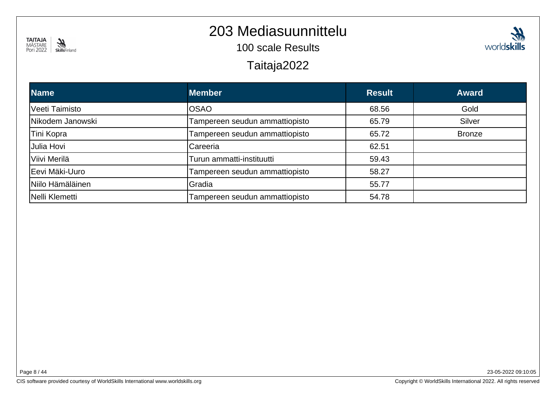

#### 203 Mediasuunnittelu

100 scale Results

#### Taitaja2022

| <b>Name</b>      | <b>Member</b>                  | <b>Result</b> | <b>Award</b>  |
|------------------|--------------------------------|---------------|---------------|
| Veeti Taimisto   | <b>OSAO</b>                    | 68.56         | Gold          |
| Nikodem Janowski | Tampereen seudun ammattiopisto | 65.79         | Silver        |
| Tini Kopra       | Tampereen seudun ammattiopisto | 65.72         | <b>Bronze</b> |
| Julia Hovi       | Careeria                       | 62.51         |               |
| Viivi Merilä     | Turun ammatti-instituutti      | 59.43         |               |
| Eevi Mäki-Uuro   | Tampereen seudun ammattiopisto | 58.27         |               |
| Niilo Hämäläinen | Gradia                         | 55.77         |               |
| Nelli Klemetti   | Tampereen seudun ammattiopisto | 54.78         |               |

23-05-2022 09:10:05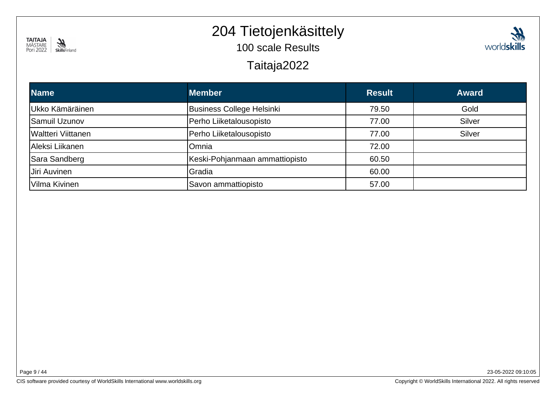

# 204 Tietojenkäsittely

100 scale Results

#### Taitaja2022



| <b>Name</b>         | <b>Member</b>                  | <b>Result</b> | <b>Award</b> |
|---------------------|--------------------------------|---------------|--------------|
| Ukko Kämäräinen     | Business College Helsinki      | 79.50         | Gold         |
| Samuil Uzunov       | Perho Liiketalousopisto        | 77.00         | Silver       |
| Waltteri Viittanen  | Perho Liiketalousopisto        | 77.00         | Silver       |
| Aleksi Liikanen     | Omnia                          | 72.00         |              |
| Sara Sandberg       | Keski-Pohjanmaan ammattiopisto | 60.50         |              |
| <b>Jiri Auvinen</b> | Gradia                         | 60.00         |              |
| Vilma Kivinen       | Savon ammattiopisto            | 57.00         |              |

Page 9 / 44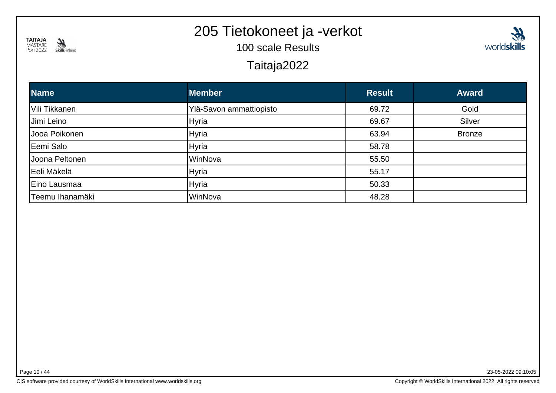

# 205 Tietokoneet ja -verkot

100 scale Results



#### Taitaja2022

| <b>Name</b>     | <b>Member</b>           | <b>Result</b> | <b>Award</b>  |
|-----------------|-------------------------|---------------|---------------|
| Vili Tikkanen   | Ylä-Savon ammattiopisto | 69.72         | Gold          |
| Jimi Leino      | Hyria                   | 69.67         | Silver        |
| Jooa Poikonen   | Hyria                   | 63.94         | <b>Bronze</b> |
| Eemi Salo       | <b>Hyria</b>            | 58.78         |               |
| Joona Peltonen  | WinNova                 | 55.50         |               |
| Eeli Mäkelä     | Hyria                   | 55.17         |               |
| Eino Lausmaa    | <b>Hyria</b>            | 50.33         |               |
| Teemu Ihanamäki | WinNova                 | 48.28         |               |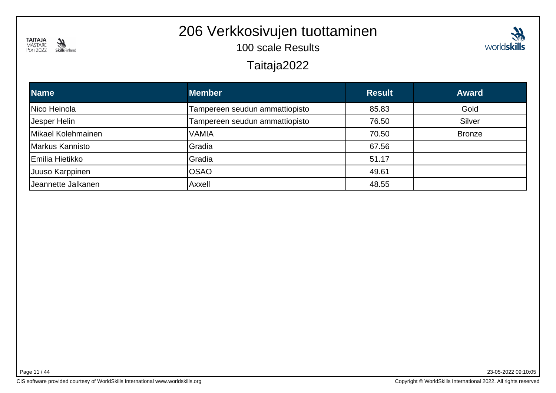

# 206 Verkkosivujen tuottaminen

100 scale Results



#### Taitaja2022

| <b>Name</b>        | <b>Member</b>                  | <b>Result</b> | <b>Award</b>  |
|--------------------|--------------------------------|---------------|---------------|
| Nico Heinola       | Tampereen seudun ammattiopisto | 85.83         | Gold          |
| Jesper Helin       | Tampereen seudun ammattiopisto | 76.50         | Silver        |
| Mikael Kolehmainen | VAMIA                          | 70.50         | <b>Bronze</b> |
| Markus Kannisto    | Gradia                         | 67.56         |               |
| Emilia Hietikko    | Gradia                         | 51.17         |               |
| Juuso Karppinen    | <b>OSAO</b>                    | 49.61         |               |
| Jeannette Jalkanen | Axxell                         | 48.55         |               |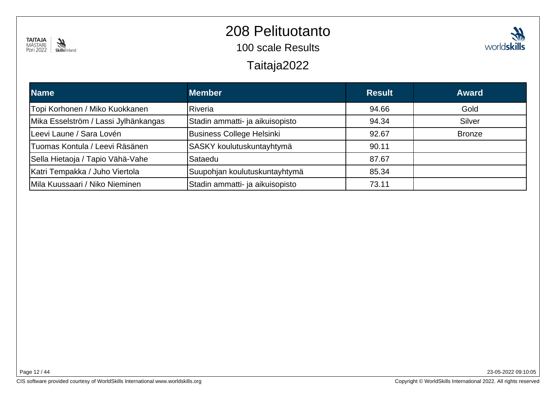

### 208 Pelituotanto

100 scale Results

Taitaja2022



| <b>Name</b>                          | <b>Member</b>                   | <b>Result</b> | <b>Award</b>  |
|--------------------------------------|---------------------------------|---------------|---------------|
| Topi Korhonen / Miko Kuokkanen       | Riveria                         | 94.66         | Gold          |
| Mika Esselström / Lassi Jylhänkangas | Stadin ammatti- ja aikuisopisto | 94.34         | Silver        |
| Leevi Laune / Sara Lovén             | Business College Helsinki       | 92.67         | <b>Bronze</b> |
| lTuomas Kontula / Leevi Räsänen      | SASKY koulutuskuntayhtymä       | 90.11         |               |
| Sella Hietaoja / Tapio Vähä-Vahe     | Sataedu                         | 87.67         |               |
| Katri Tempakka / Juho Viertola       | Suupohjan koulutuskuntayhtymä   | 85.34         |               |
| Mila Kuussaari / Niko Nieminen       | Stadin ammatti- ja aikuisopisto | 73.11         |               |

Page 12 / 44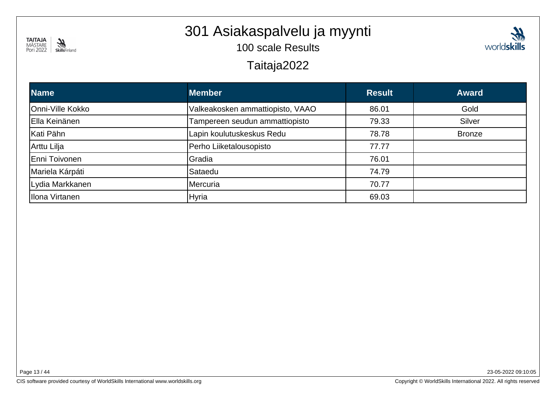

# 301 Asiakaspalvelu ja myynti

100 scale Results

Taitaja2022

| <b>Member</b>                    | <b>Result</b> | <b>Award</b>  |
|----------------------------------|---------------|---------------|
| Valkeakosken ammattiopisto, VAAO | 86.01         | Gold          |
| Tampereen seudun ammattiopisto   | 79.33         | Silver        |
| Lapin koulutuskeskus Redu        | 78.78         | <b>Bronze</b> |
| Perho Liiketalousopisto          | 77.77         |               |
| Gradia                           | 76.01         |               |
| Sataedu                          | 74.79         |               |
| Mercuria                         | 70.77         |               |
| Hyria                            | 69.03         |               |
|                                  |               |               |

Page 13 / 44

23-05-2022 09:10:05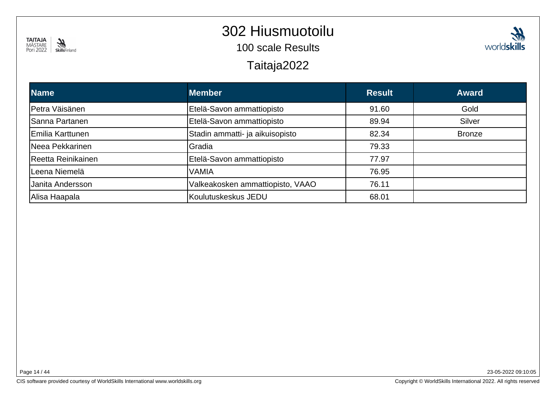

#### 302 Hiusmuotoilu

100 scale Results

Taitaja2022

| <b>M</b>    |
|-------------|
| worldskills |

| <b>Name</b>              | <b>Member</b>                    | <b>Result</b> | <b>Award</b>  |
|--------------------------|----------------------------------|---------------|---------------|
| Petra Väisänen           | Etelä-Savon ammattiopisto        | 91.60         | Gold          |
| Sanna Partanen           | Etelä-Savon ammattiopisto        | 89.94         | Silver        |
| <b>IEmilia Karttunen</b> | Stadin ammatti- ja aikuisopisto  | 82.34         | <b>Bronze</b> |
| Neea Pekkarinen          | Gradia                           | 79.33         |               |
| Reetta Reinikainen       | Etelä-Savon ammattiopisto        | 77.97         |               |
| Leena Niemelä            | VAMIA                            | 76.95         |               |
| Janita Andersson         | Valkeakosken ammattiopisto, VAAO | 76.11         |               |
| Alisa Haapala            | Koulutuskeskus JEDU              | 68.01         |               |

Page 14 / 44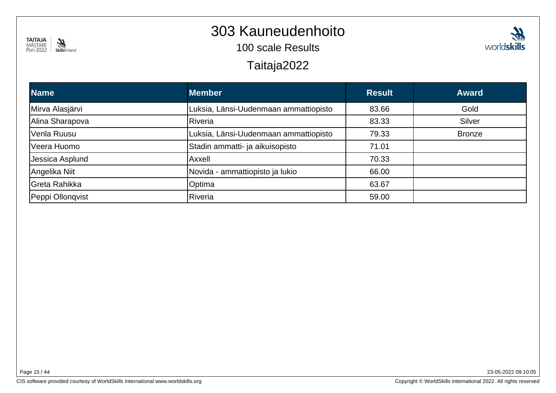

#### 303 Kauneudenhoito

100 scale Results

#### Taitaja2022

| <b>Name</b>      | <b>Member</b>                         | <b>Result</b> | <b>Award</b>  |
|------------------|---------------------------------------|---------------|---------------|
| Mirva Alasjärvi  | Luksia, Länsi-Uudenmaan ammattiopisto | 83.66         | Gold          |
| Alina Sharapova  | <b>Riveria</b>                        | 83.33         | Silver        |
| Venla Ruusu      | Luksia, Länsi-Uudenmaan ammattiopisto | 79.33         | <b>Bronze</b> |
| Veera Huomo      | Stadin ammatti- ja aikuisopisto       | 71.01         |               |
| Jessica Asplund  | Axxell                                | 70.33         |               |
| Angelika Niit    | Novida - ammattiopisto ja lukio       | 66.00         |               |
| Greta Rahikka    | Optima                                | 63.67         |               |
| Peppi Ollonqvist | Riveria                               | 59.00         |               |

Page 15 / 44

23-05-2022 09:10:05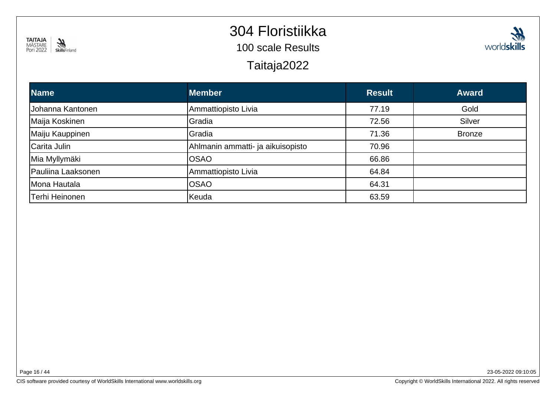

# 304 Floristiikka

100 scale Results

Taitaja2022



| <b>Name</b>        | <b>Member</b>                     | <b>Result</b> | <b>Award</b>  |
|--------------------|-----------------------------------|---------------|---------------|
| Johanna Kantonen   | Ammattiopisto Livia               | 77.19         | Gold          |
| Maija Koskinen     | Gradia                            | 72.56         | Silver        |
| Maiju Kauppinen    | Gradia                            | 71.36         | <b>Bronze</b> |
| Carita Julin       | Ahlmanin ammatti- ja aikuisopisto | 70.96         |               |
| Mia Myllymäki      | <b>OSAO</b>                       | 66.86         |               |
| Pauliina Laaksonen | Ammattiopisto Livia               | 64.84         |               |
| Mona Hautala       | <b>OSAO</b>                       | 64.31         |               |
| Terhi Heinonen     | Keuda                             | 63.59         |               |

Page 16 / 44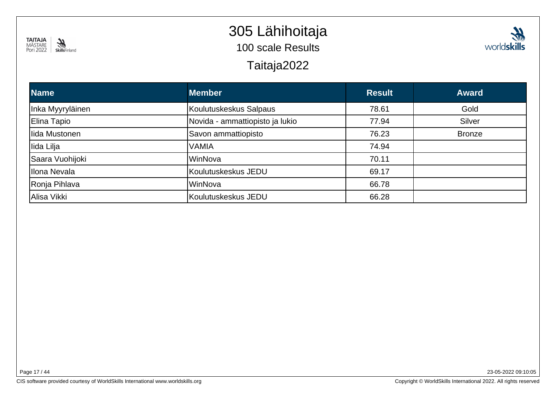

# 305 Lähihoitaja

100 scale Results

Taitaja2022



| <b>Name</b>      | <b>Member</b>                   | <b>Result</b> | <b>Award</b>  |
|------------------|---------------------------------|---------------|---------------|
| Inka Myyryläinen | Koulutuskeskus Salpaus          | 78.61         | Gold          |
| Elina Tapio      | Novida - ammattiopisto ja lukio | 77.94         | Silver        |
| Ilida Mustonen   | Savon ammattiopisto             | 76.23         | <b>Bronze</b> |
| lida Lilja       | <b>VAMIA</b>                    | 74.94         |               |
| Saara Vuohijoki  | WinNova                         | 70.11         |               |
| Illona Nevala    | Koulutuskeskus JEDU             | 69.17         |               |
| Ronja Pihlava    | WinNova                         | 66.78         |               |
| Alisa Vikki      | Koulutuskeskus JEDU             | 66.28         |               |

Page 17 / 44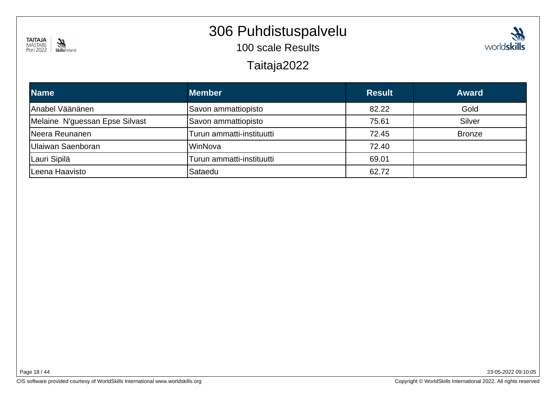

**Name**

Anabel Väänänen

Neera Reunanen

Leena Haavisto

Lauri Sipilä

Ulaiwan Saenboran

Melaine N'guessan Epse Silvast

#### 306 Puhdistuspalvelu

100 scale Results

Turun ammatti-instituutti 69.01

Savon ammattiopisto

WinNova 72.40

Sataedu 62.72

| <b>JNIID</b> I II IIGI IU<br>Taitaja2022 |                     |               |              |
|------------------------------------------|---------------------|---------------|--------------|
| e.                                       | <b>Member</b>       | <b>Result</b> | <b>Award</b> |
| el Väänänen                              | Savon ammattiopisto | 82.22         | Gold         |

75.61 Silver

Turun ammatti-instituutti 72.45 Bronze

| Page 18 / 44 |  |  |
|--------------|--|--|
|              |  |  |

23-05-2022 09:10:05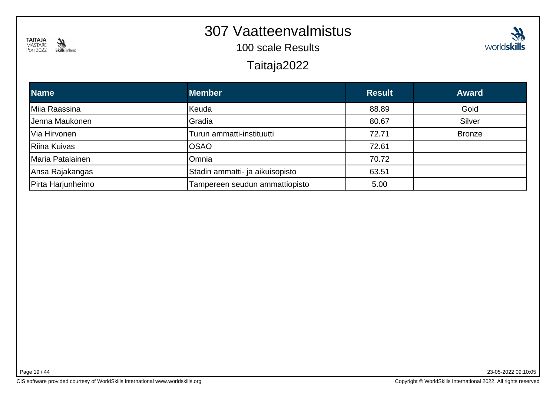

#### 307 Vaatteenvalmistus

100 scale Results

Taitaja2022

| <b>Name</b>       | <b>Member</b>                   | <b>Result</b> | <b>Award</b>  |
|-------------------|---------------------------------|---------------|---------------|
| Miia Raassina     | Keuda                           | 88.89         | Gold          |
| Jenna Maukonen    | Gradia                          | 80.67         | Silver        |
| Via Hirvonen      | Turun ammatti-instituutti       | 72.71         | <b>Bronze</b> |
| Riina Kuivas      | <b>OSAO</b>                     | 72.61         |               |
| Maria Patalainen  | Omnia                           | 70.72         |               |
| Ansa Rajakangas   | Stadin ammatti- ja aikuisopisto | 63.51         |               |
| Pirta Harjunheimo | Tampereen seudun ammattiopisto  | 5.00          |               |

CIS software provided courtesy of WorldSkills International www.worldskills.org

23-05-2022 09:10:05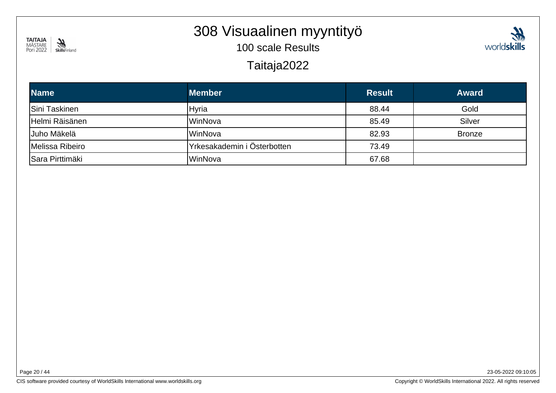

#### 308 Visuaalinen myyntityö

100 scale Results



#### Taitaja2022

| <b>Name</b>            | <b>Member</b>               | <b>Result</b> | <b>Award</b>  |
|------------------------|-----------------------------|---------------|---------------|
| <b>Sini Taskinen</b>   | Hyria                       | 88.44         | Gold          |
| Helmi Räisänen         | WinNova                     | 85.49         | Silver        |
| Uuho Mäkelä            | WinNova                     | 82.93         | <b>Bronze</b> |
| Melissa Ribeiro        | Yrkesakademin i Österbotten | 73.49         |               |
| <b>Sara Pirttimäki</b> | WinNova                     | 67.68         |               |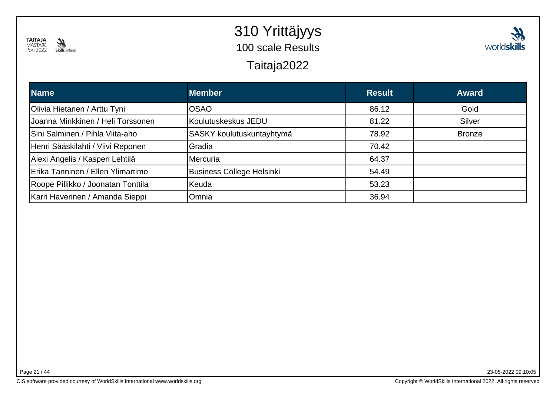

#### 310 Yrittäjyys100 scale Results



# Taitaja2022

| <b>Name</b>                        | <b>Member</b>             | <b>Result</b> | <b>Award</b>  |
|------------------------------------|---------------------------|---------------|---------------|
| Olivia Hietanen / Arttu Tyni       | lOSAO                     | 86.12         | Gold          |
| Joanna Minkkinen / Heli Torssonen  | Koulutuskeskus JEDU       | 81.22         | Silver        |
| Sini Salminen / Pihla Viita-aho    | SASKY koulutuskuntayhtymä | 78.92         | <b>Bronze</b> |
| Henri Sääskilahti / Viivi Reponen  | Gradia                    | 70.42         |               |
| Alexi Angelis / Kasperi Lehtilä    | <b>Mercuria</b>           | 64.37         |               |
| Erika Tanninen / Ellen Ylimartimo  | Business College Helsinki | 54.49         |               |
| Roope Pillikko / Joonatan Tonttila | Keuda                     | 53.23         |               |
| Karri Haverinen / Amanda Sieppi    | Omnia                     | 36.94         |               |

Page 21 / 44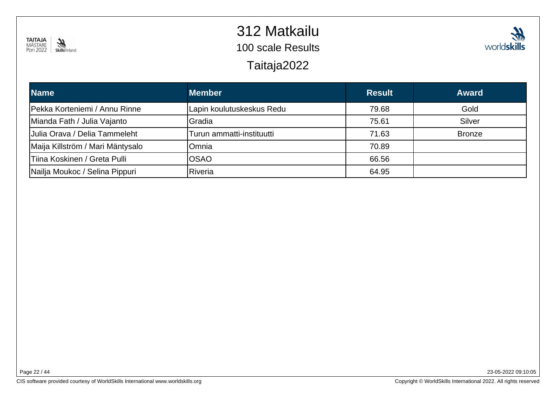

### 312 Matkailu

100 scale Results

Taitaja2022



| <b>Name</b>                      | <b>Member</b>             | <b>Result</b> | <b>Award</b>  |
|----------------------------------|---------------------------|---------------|---------------|
| Pekka Korteniemi / Annu Rinne    | Lapin koulutuskeskus Redu | 79.68         | Gold          |
| Mianda Fath / Julia Vajanto      | <b>IGradia</b>            | 75.61         | Silver        |
| Uulia Orava / Delia Tammeleht    | Turun ammatti-instituutti | 71.63         | <b>Bronze</b> |
| Maija Killström / Mari Mäntysalo | lOmnia                    | 70.89         |               |
| Tiina Koskinen / Greta Pulli     | lOSAO                     | 66.56         |               |
| Nailja Moukoc / Selina Pippuri   | Riveria                   | 64.95         |               |

Page 22 / 44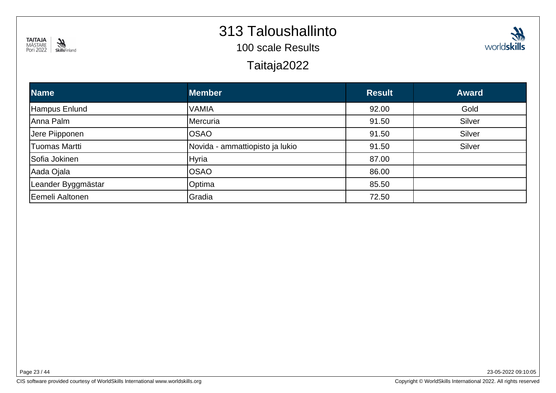

#### 313 Taloushallinto

100 scale Results

Taitaja2022



| <b>Name</b>        | <b>Member</b>                   | <b>Result</b> | <b>Award</b> |
|--------------------|---------------------------------|---------------|--------------|
| Hampus Enlund      | <b>VAMIA</b>                    | 92.00         | Gold         |
| Anna Palm          | Mercuria                        | 91.50         | Silver       |
| Jere Piipponen     | <b>OSAO</b>                     | 91.50         | Silver       |
| Tuomas Martti      | Novida - ammattiopisto ja lukio | 91.50         | Silver       |
| Sofia Jokinen      | <b>Hyria</b>                    | 87.00         |              |
| Aada Ojala         | <b>OSAO</b>                     | 86.00         |              |
| Leander Byggmästar | Optima                          | 85.50         |              |
| Eemeli Aaltonen    | Gradia                          | 72.50         |              |

Page 23 / 44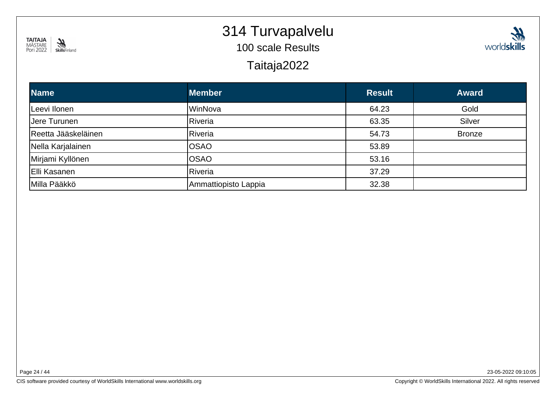

#### 314 Turvapalvelu

100 scale Results

Taitaja2022



| <b>Name</b>         | <b>Member</b>        | <b>Result</b> | <b>Award</b>  |
|---------------------|----------------------|---------------|---------------|
| Leevi Ilonen        | WinNova              | 64.23         | Gold          |
| Uere Turunen        | Riveria              | 63.35         | Silver        |
| Reetta Jääskeläinen | Riveria              | 54.73         | <b>Bronze</b> |
| Nella Karjalainen   | <b>OSAO</b>          | 53.89         |               |
| Mirjami Kyllönen    | <b>OSAO</b>          | 53.16         |               |
| Elli Kasanen        | Riveria              | 37.29         |               |
| Milla Pääkkö        | Ammattiopisto Lappia | 32.38         |               |

Page 24 / 44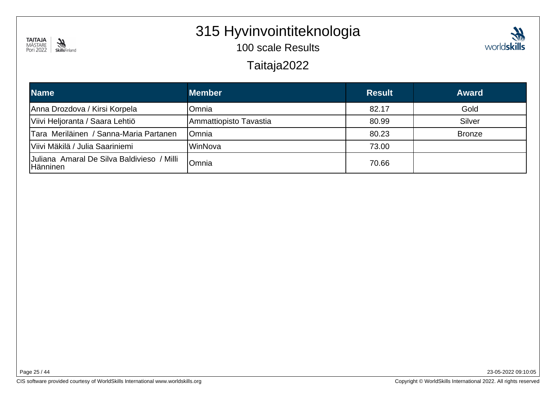

# 315 Hyvinvointiteknologia

100 scale Results



#### Taitaja2022

| <b>Name</b>                                            | <b>Member</b>          | <b>Result</b> | <b>Award</b>  |
|--------------------------------------------------------|------------------------|---------------|---------------|
| Anna Drozdova / Kirsi Korpela                          | Omnia                  | 82.17         | Gold          |
| Viivi Heljoranta / Saara Lehtiö                        | Ammattiopisto Tavastia | 80.99         | Silver        |
| Tara Meriläinen / Sanna-Maria Partanen                 | lOmnia                 | 80.23         | <b>Bronze</b> |
| Viivi Mäkilä / Julia Saariniemi                        | IWinNova               | 73.00         |               |
| Juliana Amaral De Silva Baldivieso / Milli<br>Hänninen | lOmnia                 | 70.66         |               |

Page 25 / 44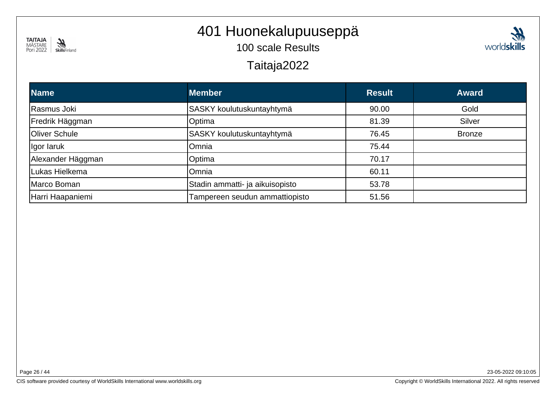

# 401 Huonekalupuuseppä

100 scale Results

Taitaja2022

| <b>Member</b>                   | <b>Result</b> | <b>Award</b>  |
|---------------------------------|---------------|---------------|
| SASKY koulutuskuntayhtymä       | 90.00         | Gold          |
| Optima                          | 81.39         | Silver        |
| SASKY koulutuskuntayhtymä       | 76.45         | <b>Bronze</b> |
| Omnia                           | 75.44         |               |
| Optima                          | 70.17         |               |
| Omnia                           | 60.11         |               |
| Stadin ammatti- ja aikuisopisto | 53.78         |               |
| Tampereen seudun ammattiopisto  | 51.56         |               |
|                                 |               |               |

Page 26 / 44

23-05-2022 09:10:05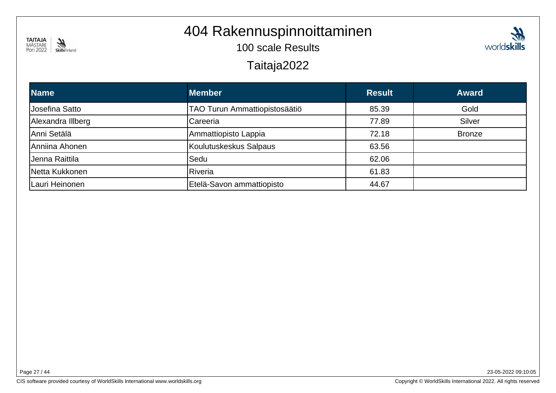

# 404 Rakennuspinnoittaminen

100 scale Results



#### Taitaja2022

| <b>Name</b>       | <b>Member</b>                 | <b>Result</b> | <b>Award</b>  |
|-------------------|-------------------------------|---------------|---------------|
| Josefina Satto    | TAO Turun Ammattiopistosäätiö | 85.39         | Gold          |
| Alexandra Illberg | Careeria                      | 77.89         | Silver        |
| Anni Setälä       | Ammattiopisto Lappia          | 72.18         | <b>Bronze</b> |
| Anniina Ahonen    | Koulutuskeskus Salpaus        | 63.56         |               |
| Jenna Raittila    | Sedu                          | 62.06         |               |
| Netta Kukkonen    | Riveria                       | 61.83         |               |
| Lauri Heinonen    | Etelä-Savon ammattiopisto     | 44.67         |               |

Page 27 / 44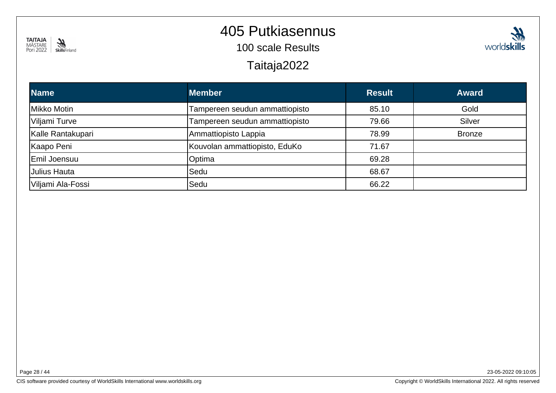

### 405 Putkiasennus

100 scale Results

Taitaja2022



| <b>Name</b>       | <b>Member</b>                  | <b>Result</b> | <b>Award</b>  |
|-------------------|--------------------------------|---------------|---------------|
| Mikko Motin       | Tampereen seudun ammattiopisto | 85.10         | Gold          |
| Viljami Turve     | Tampereen seudun ammattiopisto | 79.66         | Silver        |
| Kalle Rantakupari | Ammattiopisto Lappia           | 78.99         | <b>Bronze</b> |
| Kaapo Peni        | Kouvolan ammattiopisto, EduKo  | 71.67         |               |
| Emil Joensuu      | Optima                         | 69.28         |               |
| Julius Hauta      | lSedu                          | 68.67         |               |
| Viljami Ala-Fossi | Sedu                           | 66.22         |               |

Page 28 / 44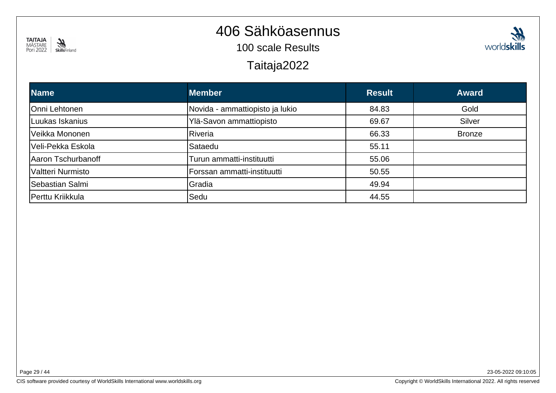

#### 406 Sähköasennus

100 scale Results

Taitaja2022

| <b>Name</b>        | <b>Member</b>                   | <b>Result</b> | <b>Award</b>  |
|--------------------|---------------------------------|---------------|---------------|
| Onni Lehtonen      | Novida - ammattiopisto ja lukio | 84.83         | Gold          |
| Luukas Iskanius    | Ylä-Savon ammattiopisto         | 69.67         | Silver        |
| Veikka Mononen     | Riveria                         | 66.33         | <b>Bronze</b> |
| Veli-Pekka Eskola  | Sataedu                         | 55.11         |               |
| Aaron Tschurbanoff | Turun ammatti-instituutti       | 55.06         |               |
| Valtteri Nurmisto  | Forssan ammatti-instituutti     | 50.55         |               |
| Sebastian Salmi    | Gradia                          | 49.94         |               |
| Perttu Kriikkula   | Sedu                            | 44.55         |               |

23-05-2022 09:10:05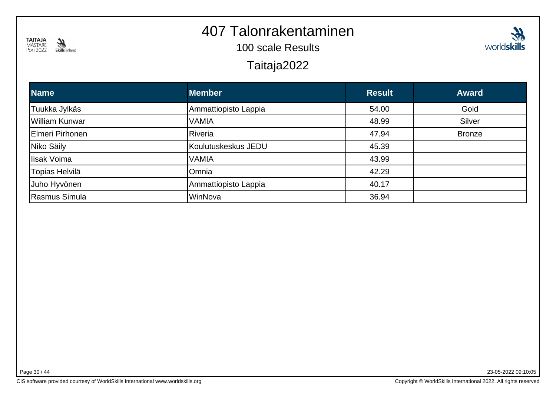

#### 407 Talonrakentaminen

100 scale Results

#### Taitaja2022

| <b>Name</b>     | <b>Member</b>        | <b>Result</b> | <b>Award</b>  |
|-----------------|----------------------|---------------|---------------|
| Tuukka Jylkäs   | Ammattiopisto Lappia | 54.00         | Gold          |
| William Kunwar  | <b>VAMIA</b>         | 48.99         | Silver        |
| Elmeri Pirhonen | Riveria              | 47.94         | <b>Bronze</b> |
| Niko Säily      | Koulutuskeskus JEDU  | 45.39         |               |
| lisak Voima     | <b>VAMIA</b>         | 43.99         |               |
| Topias Helvilä  | Omnia                | 42.29         |               |
| Juho Hyvönen    | Ammattiopisto Lappia | 40.17         |               |
| Rasmus Simula   | WinNova              | 36.94         |               |

Page 30 / 44

23-05-2022 09:10:05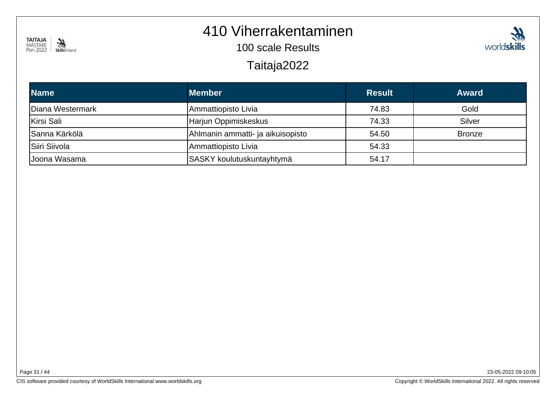#### **TAITAJA**<br>MÄSTARE<br>Pori 2022 SkillsFinland

#### 410 Viherrakentaminen

100 scale Results

Taitaja2022

| <b>Name</b>      | <b>Member</b>                     | <b>Result</b> | <b>Award</b>  |
|------------------|-----------------------------------|---------------|---------------|
| Diana Westermark | Ammattiopisto Livia               | 74.83         | Gold          |
| Kirsi Sali       | Harjun Oppimiskeskus              | 74.33         | Silver        |
| Sanna Kärkölä    | Ahlmanin ammatti- ja aikuisopisto | 54.50         | <b>Bronze</b> |
| Siiri Siivola    | Ammattiopisto Livia               | 54.33         |               |
| Joona Wasama     | SASKY koulutuskuntayhtymä         | 54.17         |               |

23-05-2022 09:10:05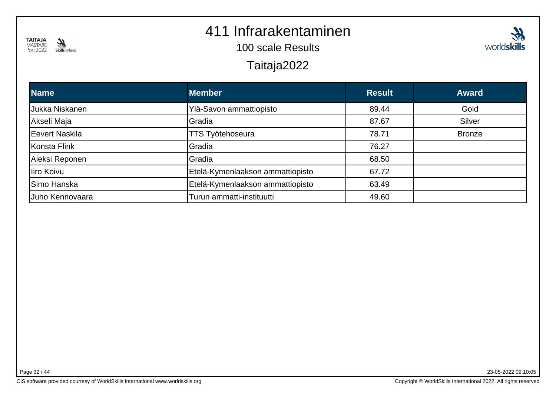

#### 411 Infrarakentaminen

100 scale Results

Taitaja2022

| <b>Name</b>     | <b>Member</b>                    | <b>Result</b> | <b>Award</b>  |
|-----------------|----------------------------------|---------------|---------------|
| Jukka Niskanen  | Ylä-Savon ammattiopisto          | 89.44         | Gold          |
| Akseli Maja     | Gradia                           | 87.67         | Silver        |
| Eevert Naskila  | <b>TTS Työtehoseura</b>          | 78.71         | <b>Bronze</b> |
| Konsta Flink    | Gradia                           | 76.27         |               |
| Aleksi Reponen  | Gradia                           | 68.50         |               |
| liro Koivu      | Etelä-Kymenlaakson ammattiopisto | 67.72         |               |
| Simo Hanska     | Etelä-Kymenlaakson ammattiopisto | 63.49         |               |
| Juho Kennovaara | Turun ammatti-instituutti        | 49.60         |               |

23-05-2022 09:10:05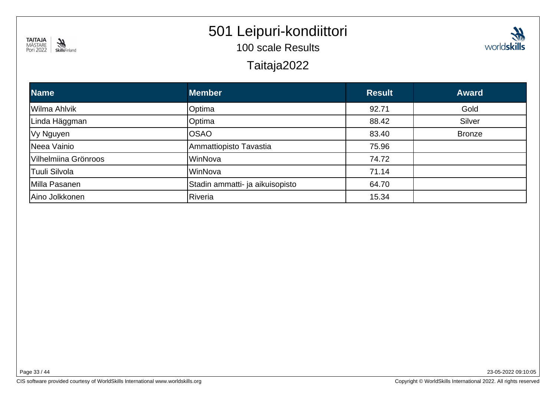

# 501 Leipuri-kondiittori

100 scale Results

Taitaja2022



| <b>Name</b>          | <b>Member</b>                   | <b>Result</b> | <b>Award</b>  |
|----------------------|---------------------------------|---------------|---------------|
| Wilma Ahlvik         | Optima                          | 92.71         | Gold          |
| Linda Häggman        | Optima                          | 88.42         | <b>Silver</b> |
| Vy Nguyen            | <b>OSAO</b>                     | 83.40         | <b>Bronze</b> |
| Neea Vainio          | Ammattiopisto Tavastia          | 75.96         |               |
| Vilhelmiina Grönroos | WinNova                         | 74.72         |               |
| Tuuli Silvola        | WinNova                         | 71.14         |               |
| Milla Pasanen        | Stadin ammatti- ja aikuisopisto | 64.70         |               |
| Aino Jolkkonen       | Riveria                         | 15.34         |               |

Page 33 / 44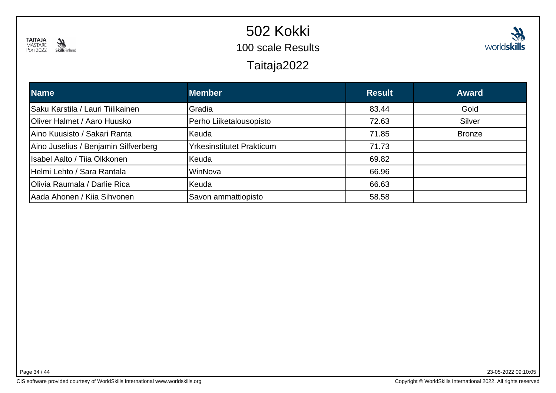

# 502 Kokki



100 scale Results

Taitaja2022

| <b>Name</b>                          | <b>Member</b>                    | <b>Result</b> | <b>Award</b>  |
|--------------------------------------|----------------------------------|---------------|---------------|
| Saku Karstila / Lauri Tiilikainen    | Gradia                           | 83.44         | Gold          |
| <b>Oliver Halmet / Aaro Huusko</b>   | Perho Liiketalousopisto          | 72.63         | Silver        |
| Aino Kuusisto / Sakari Ranta         | <b>Keuda</b>                     | 71.85         | <b>Bronze</b> |
| Aino Juselius / Benjamin Silfverberg | <b>Yrkesinstitutet Prakticum</b> | 71.73         |               |
| Isabel Aalto / Tiia Olkkonen         | Keuda                            | 69.82         |               |
| Helmi Lehto / Sara Rantala           | WinNova                          | 66.96         |               |
| Olivia Raumala / Darlie Rica         | Keuda                            | 66.63         |               |
| Aada Ahonen / Kiia Sihvonen          | Savon ammattiopisto              | 58.58         |               |

Page 34 / 44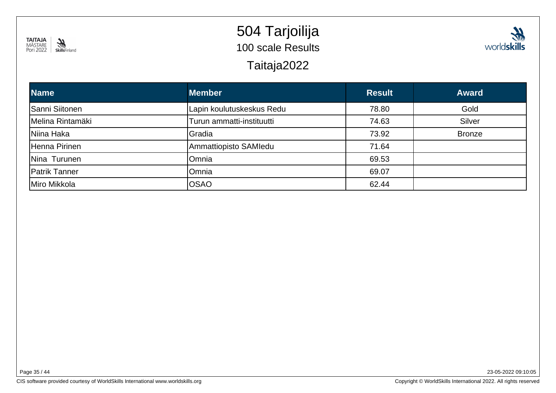

# 504 Tarjoilija 100 scale ResultsTaitaja2022



#### **Name Member Result Award**Sanni Siitonen Lapin koulutuskeskus Redu 78.80 Gold Melina Rintamäki Turun ammatti-instituutti 74.63 Silver Niina Haka Gradia 73.92 Bronze Henna PirinenAmmattiopisto SAMIedu 71.64 Nina Turunen Omniaa 69.53 Patrik Tanner Omniaa 69.07 Miro Mikkola OSAO0 62.44

Page 35 / 44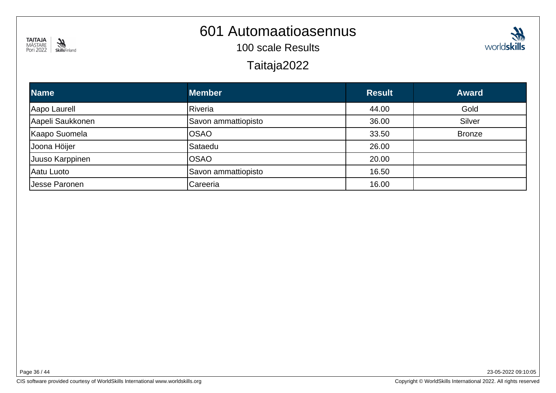

#### 601 Automaatioasennus

100 scale Results

Taitaja2022



| <b>Name</b>      | <b>Member</b>       | <b>Result</b> | <b>Award</b>  |
|------------------|---------------------|---------------|---------------|
| Aapo Laurell     | Riveria             | 44.00         | Gold          |
| Aapeli Saukkonen | Savon ammattiopisto | 36.00         | <b>Silver</b> |
| Kaapo Suomela    | <b>OSAO</b>         | 33.50         | <b>Bronze</b> |
| Joona Höijer     | Sataedu             | 26.00         |               |
| Juuso Karppinen  | <b>OSAO</b>         | 20.00         |               |
| Aatu Luoto       | Savon ammattiopisto | 16.50         |               |
| Jesse Paronen    | Careeria            | 16.00         |               |

Page 36 / 44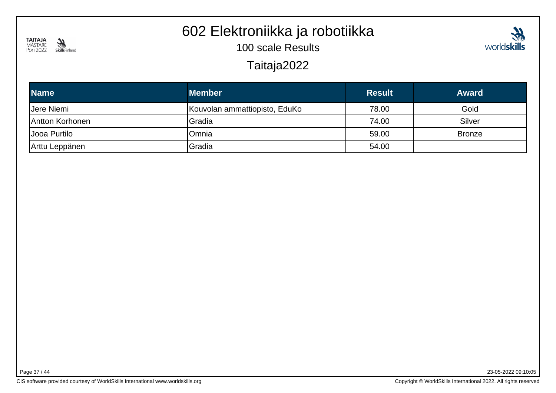

### 602 Elektroniikka ja robotiikka

100 scale Results



Taitaja2022

| <b>Name</b>     | <b>Member</b>                 | <b>Result</b> | <b>Award</b>  |
|-----------------|-------------------------------|---------------|---------------|
| Jere Niemi      | Kouvolan ammattiopisto, EduKo | 78.00         | Gold          |
| Antton Korhonen | <b>Gradia</b>                 | 74.00         | Silver        |
| Uooa Purtilo    | Omnia                         | 59.00         | <b>Bronze</b> |
| Arttu Leppänen  | Gradia                        | 54.00         |               |

Page 37 / 44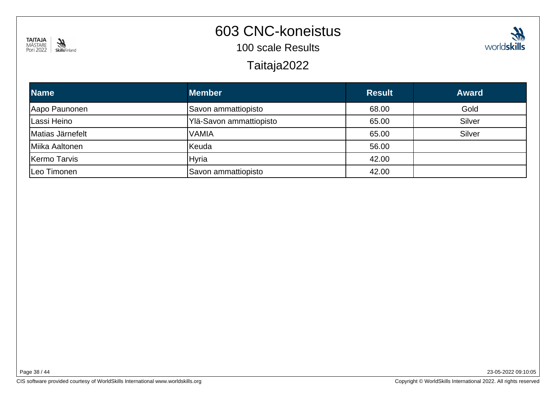

# 603 CNC-koneistus

100 scale Results

Taitaja2022

| <b>Name</b>      | <b>Member</b>           | <b>Result</b> | <b>Award</b> |
|------------------|-------------------------|---------------|--------------|
| Aapo Paunonen    | Savon ammattiopisto     | 68.00         | Gold         |
| Lassi Heino      | Ylä-Savon ammattiopisto | 65.00         | Silver       |
| Matias Järnefelt | <b>VAMIA</b>            | 65.00         | Silver       |
| Miika Aaltonen   | Keuda                   | 56.00         |              |
| Kermo Tarvis     | Hyria                   | 42.00         |              |
| Leo Timonen      | Savon ammattiopisto     | 42.00         |              |

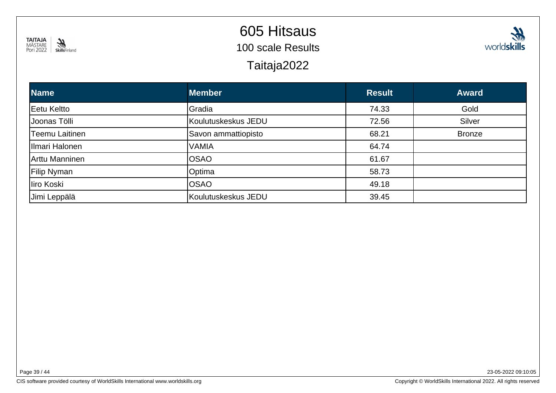

# 605 Hitsaus

100 scale Results

Taitaja2022



| <b>Name</b>     | <b>Member</b>       | <b>Result</b> | <b>Award</b>  |
|-----------------|---------------------|---------------|---------------|
| Eetu Keltto     | Gradia              | 74.33         | Gold          |
| Uoonas Tölli    | Koulutuskeskus JEDU | 72.56         | Silver        |
| Teemu Laitinen  | Savon ammattiopisto | 68.21         | <b>Bronze</b> |
| Illmari Halonen | <b>VAMIA</b>        | 64.74         |               |
| Arttu Manninen  | <b>OSAO</b>         | 61.67         |               |
| Filip Nyman     | <b>O</b> ptima      | 58.73         |               |
| liro Koski      | <b>OSAO</b>         | 49.18         |               |
| Jimi Leppälä    | Koulutuskeskus JEDU | 39.45         |               |

Page 39 / 44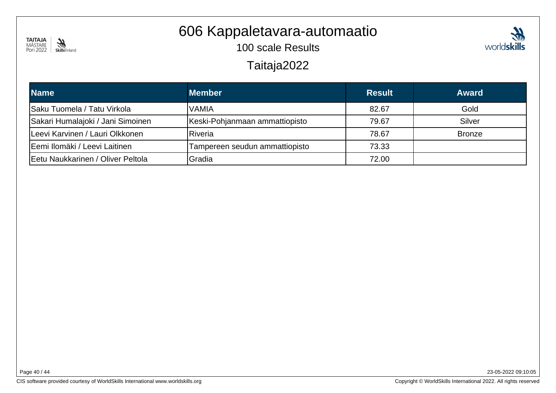

#### 606 Kappaletavara-automaatio

100 scale Results



#### Taitaja2022

| <b>Name</b>                       | <b>Member</b>                  | <b>Result</b> | <b>Award</b>  |
|-----------------------------------|--------------------------------|---------------|---------------|
| Saku Tuomela / Tatu Virkola       | <b>VAMIA</b>                   | 82.67         | Gold          |
| Sakari Humalajoki / Jani Simoinen | Keski-Pohjanmaan ammattiopisto | 79.67         | Silver        |
| Leevi Karvinen / Lauri Olkkonen   | Riveria                        | 78.67         | <b>Bronze</b> |
| Eemi Ilomäki / Leevi Laitinen     | Tampereen seudun ammattiopisto | 73.33         |               |
| Eetu Naukkarinen / Oliver Peltola | Gradia                         | 72.00         |               |

Page 40 / 44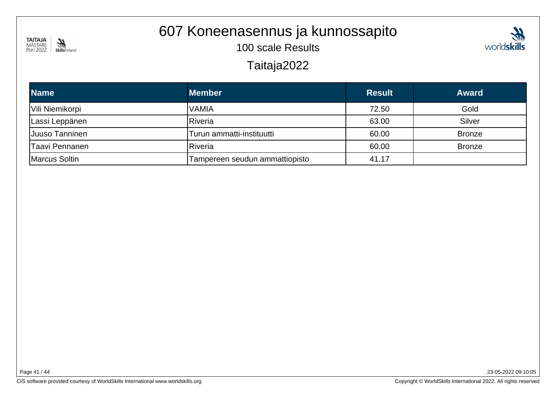

# 607 Koneenasennus ja kunnossapito

100 scale Results



#### Taitaja2022

| <b>Name</b>     | <b>Member</b>                  | <b>Result</b> | <b>Award</b>  |
|-----------------|--------------------------------|---------------|---------------|
| Vili Niemikorpi | 'VAMIA                         | 72.50         | Gold          |
| Lassi Leppänen  | <b>Riveria</b>                 | 63.00         | Silver        |
| Juuso Tanninen  | Turun ammatti-instituutti      | 60.00         | <b>Bronze</b> |
| Taavi Pennanen  | <b>Riveria</b>                 | 60.00         | <b>Bronze</b> |
| Marcus Soltin   | Tampereen seudun ammattiopisto | 41.17         |               |

Page 41 / 44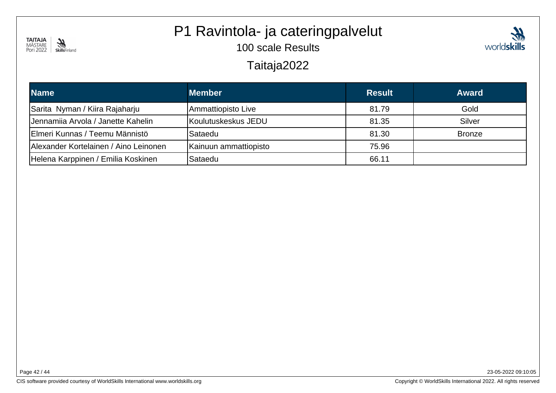

# P1 Ravintola- ja cateringpalvelut

100 scale Results



#### Taitaja2022

| <b>Name</b>                           | <b>Member</b>         | <b>Result</b> | <b>Award</b>  |
|---------------------------------------|-----------------------|---------------|---------------|
| Sarita Nyman / Kiira Rajaharju        | Ammattiopisto Live    | 81.79         | Gold          |
| Jennamiia Arvola / Janette Kahelin    | Koulutuskeskus JEDU   | 81.35         | Silver        |
| Elmeri Kunnas / Teemu Männistö        | Sataedu               | 81.30         | <b>Bronze</b> |
| Alexander Kortelainen / Aino Leinonen | Kainuun ammattiopisto | 75.96         |               |
| Helena Karppinen / Emilia Koskinen    | Sataedu               | 66.11         |               |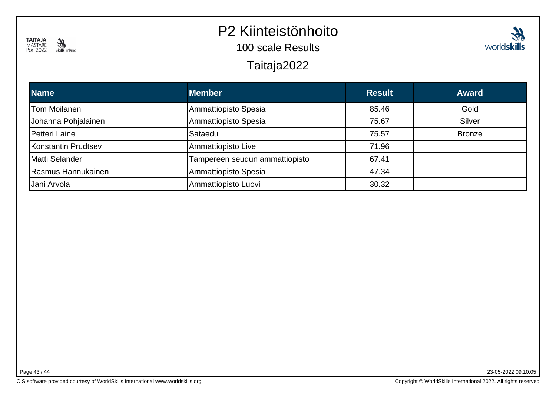

#### P2 Kiinteistönhoito

100 scale Results

Taitaja2022

| <b>Name</b>         | <b>Member</b>                  | <b>Result</b> | <b>Award</b>  |
|---------------------|--------------------------------|---------------|---------------|
| Tom Moilanen        | Ammattiopisto Spesia           | 85.46         | Gold          |
| Johanna Pohjalainen | Ammattiopisto Spesia           | 75.67         | Silver        |
| Petteri Laine       | Sataedu                        | 75.57         | <b>Bronze</b> |
| Konstantin Prudtsev | Ammattiopisto Live             | 71.96         |               |
| Matti Selander      | Tampereen seudun ammattiopisto | 67.41         |               |
| Rasmus Hannukainen  | Ammattiopisto Spesia           | 47.34         |               |
| Jani Arvola         | Ammattiopisto Luovi            | 30.32         |               |
|                     |                                |               |               |

Page 43 / 44

23-05-2022 09:10:05